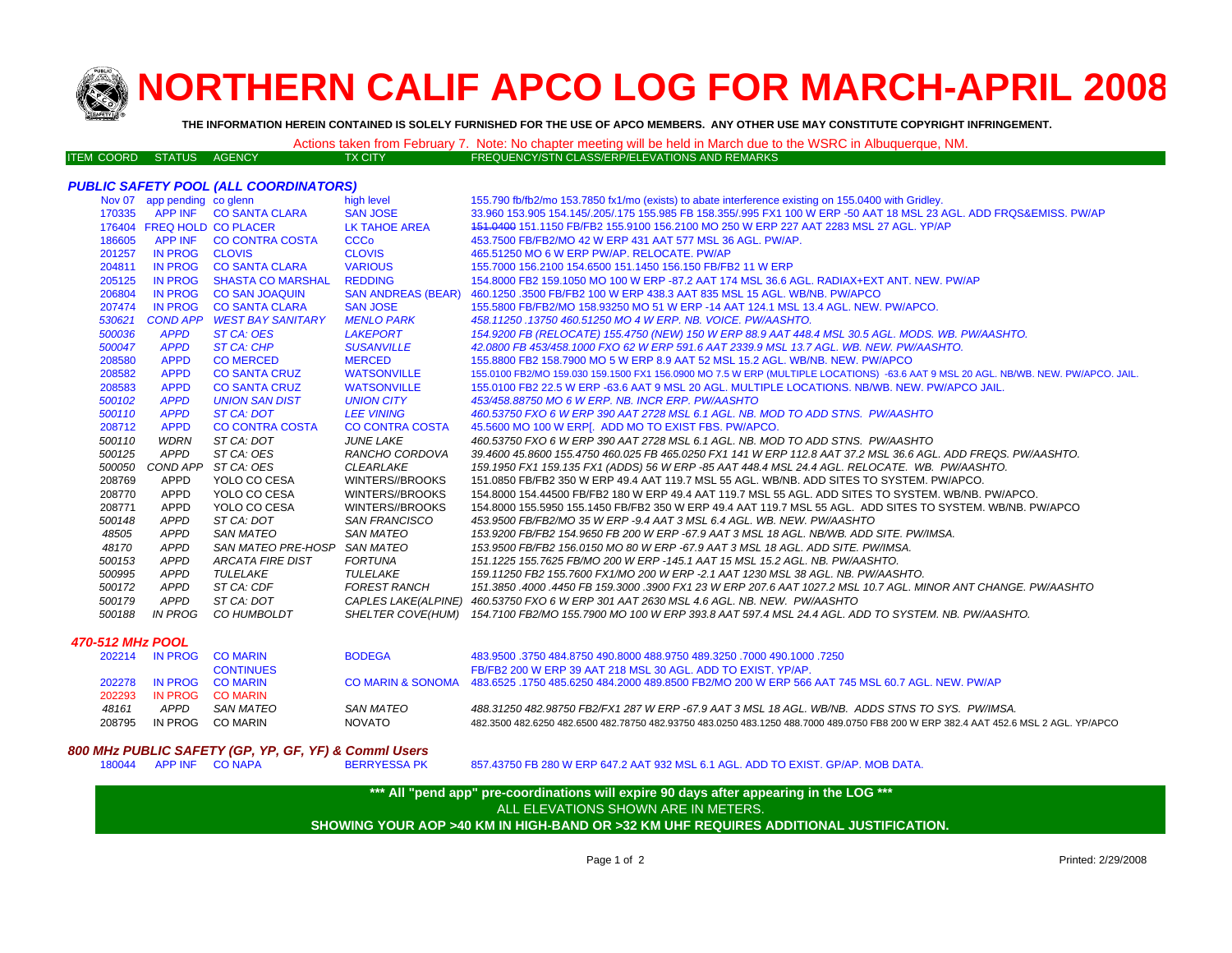

## **NORTHERN CALIF APCO LOG FOR MARCH-APRIL 200 8**

**THE INFORMATION HEREIN CONTAINED IS SOLELY FURNISHED FOR THE USE OF APCO MEMBERS. ANY OTHER USE MAY CONSTITUTE COPYRIGHT INFRINGEMENT.**

|                          |  |         | Actions taken from February 7. Note: No chapter meeting will be held in March due to the WSRC in Albuquerque, NM. |
|--------------------------|--|---------|-------------------------------------------------------------------------------------------------------------------|
| ITEM COORD STATUS AGENCY |  | TX CITY | FREQUENCY/STN CLASS/ERP/ELEVATIONS AND REMARKS                                                                    |

## *PUBLIC SAFETY POOL (ALL COORDINATORS)*

|                  | Nov 07 app pending co glenn |                               | high level                | 155.790 fb/fb2/mo 153.7850 fx1/mo (exists) to abate interference existing on 155.0400 with Gridley.                                |
|------------------|-----------------------------|-------------------------------|---------------------------|------------------------------------------------------------------------------------------------------------------------------------|
|                  |                             | 170335 APP INF CO SANTA CLARA | <b>SAN JOSE</b>           | 33.960 153.905 154.145/.205/.175 155.985 FB 158.355/.995 FX1 100 W ERP -50 AAT 18 MSL 23 AGL. ADD FRQS&EMISS, PW/AP                |
|                  | 176404 FREQ HOLD CO PLACER  |                               | LK TAHOE AREA             | 151,0400 151,1150 FB/FB2 155,9100 156,2100 MO 250 W ERP 227 AAT 2283 MSL 27 AGL, YP/AP                                             |
| 186605           | APP INF                     | <b>CO CONTRA COSTA</b>        | <b>CCCo</b>               | 453.7500 FB/FB2/MO 42 W ERP 431 AAT 577 MSL 36 AGL, PW/AP.                                                                         |
| 201257           | <b>IN PROG</b>              | <b>CLOVIS</b>                 | <b>CLOVIS</b>             | 465.51250 MO 6 W ERP PW/AP, RELOCATE, PW/AP                                                                                        |
| 204811           | <b>IN PROG</b>              | <b>CO SANTA CLARA</b>         | <b>VARIOUS</b>            | 155.7000 156.2100 154.6500 151.1450 156.150 FB/FB2 11 W ERP                                                                        |
| 205125           | <b>IN PROG</b>              | <b>SHASTA CO MARSHAL</b>      | <b>REDDING</b>            | 154,8000 FB2 159,1050 MO 100 W ERP -87.2 AAT 174 MSL 36.6 AGL, RADIAX+EXT ANT, NEW, PW/AP                                          |
| 206804           | <b>IN PROG</b>              | <b>CO SAN JOAQUIN</b>         | <b>SAN ANDREAS (BEAR)</b> | 460.1250 .3500 FB/FB2 100 W ERP 438.3 AAT 835 MSL 15 AGL. WB/NB, PW/APCO                                                           |
| 207474           | <b>IN PROG</b>              | <b>CO SANTA CLARA</b>         | <b>SAN JOSE</b>           | 155,5800 FB/FB2/MO 158,93250 MO 51 W ERP -14 AAT 124.1 MSL 13.4 AGL, NEW, PW/APCO,                                                 |
| 530621           |                             | COND APP WEST BAY SANITARY    | <b>MENLO PARK</b>         | 458.11250.13750 460.51250 MO 4 W ERP. NB. VOICE. PW/AASHTO.                                                                        |
| 500036           | <b>APPD</b>                 | ST CA: OES                    | <b>LAKEPORT</b>           | 154.9200 FB (RELOCATE) 155.4750 (NEW) 150 W ERP 88.9 AAT 448.4 MSL 30.5 AGL. MODS. WB. PW/AASHTO.                                  |
| 500047           | <b>APPD</b>                 | <b>ST CA: CHP</b>             | <b>SUSANVILLE</b>         | 42.0800 FB 453/458.1000 FXO 62 W ERP 591.6 AAT 2339.9 MSL 13.7 AGL, WB, NEW, PW/AASHTO,                                            |
| 208580           | <b>APPD</b>                 | <b>CO MERCED</b>              | <b>MERCED</b>             | 155,8800 FB2 158,7900 MO 5 W ERP 8.9 AAT 52 MSL 15.2 AGL, WB/NB, NEW, PW/APCO                                                      |
| 208582           | <b>APPD</b>                 | <b>CO SANTA CRUZ</b>          | <b>WATSONVILLE</b>        | 155.0100 FB2/MO 159.030 159.1500 FX1 156.0900 MO 7.5 W ERP (MULTIPLE LOCATIONS) -63.6 AAT 9 MSL 20 AGL. NB/WB. NEW. PW/APCO. JAIL. |
| 208583           | <b>APPD</b>                 | <b>CO SANTA CRUZ</b>          | <b>WATSONVILLE</b>        | 155,0100 FB2 22.5 W ERP -63.6 AAT 9 MSL 20 AGL, MULTIPLE LOCATIONS, NB/WB, NEW, PW/APCO JAIL.                                      |
| 500102           | <b>APPD</b>                 | <b>UNION SAN DIST</b>         | <b>UNION CITY</b>         | 453/458,88750 MO 6 W ERP. NB. INCR ERP. PW/AASHTO                                                                                  |
| 500110           | <b>APPD</b>                 | ST CA: DOT                    | <b>LEE VINING</b>         | 460.53750 FXO 6 W ERP 390 AAT 2728 MSL 6.1 AGL. NB. MOD TO ADD STNS. PW/AASHTO                                                     |
| 208712           | <b>APPD</b>                 | <b>CO CONTRA COSTA</b>        | <b>CO CONTRA COSTA</b>    | 45.5600 MO 100 W ERP[. ADD MO TO EXIST FBS. PW/APCO.                                                                               |
| 500110           | WDRN                        | ST CA: DOT                    | <b>JUNE LAKE</b>          | 460.53750 FXO 6 W ERP 390 AAT 2728 MSL 6.1 AGL. NB. MOD TO ADD STNS. PW/AASHTO                                                     |
| 500125           | APPD                        | ST CA: OES                    | RANCHO CORDOVA            | 39.4600 45.8600 155.4750 460.025 FB 465.0250 FX1 141 W ERP 112.8 AAT 37.2 MSL 36.6 AGL. ADD FREQS. PW/AASHTO.                      |
| 500050           |                             | COND APP ST CA: OES           | <b>CLEARLAKE</b>          | 159.1950 FX1 159.135 FX1 (ADDS) 56 W ERP -85 AAT 448.4 MSL 24.4 AGL. RELOCATE. WB. PW/AASHTO.                                      |
| 208769           | APPD                        | YOLO CO CESA                  | WINTERS//BROOKS           | 151.0850 FB/FB2 350 W ERP 49.4 AAT 119.7 MSL 55 AGL. WB/NB. ADD SITES TO SYSTEM. PW/APCO.                                          |
| 208770           | APPD                        | YOLO CO CESA                  | WINTERS//BROOKS           | 154,8000 154,44500 FB/FB2 180 W ERP 49.4 AAT 119.7 MSL 55 AGL. ADD SITES TO SYSTEM, WB/NB, PW/APCO,                                |
| 208771           | APPD                        | YOLO CO CESA                  | WINTERS//BROOKS           | 154.8000 155.5950 155.1450 FB/FB2 350 W ERP 49.4 AAT 119.7 MSL 55 AGL. ADD SITES TO SYSTEM. WB/NB. PW/APCO                         |
| 500148           | <b>APPD</b>                 | ST CA: DOT                    | SAN FRANCISCO             | 453.9500 FB/FB2/MO 35 W ERP -9.4 AAT 3 MSL 6.4 AGL. WB. NEW. PW/AASHTO                                                             |
| 48505            | <b>APPD</b>                 | <b>SAN MATEO</b>              | SAN MATEO                 | 153.9200 FB/FB2 154.9650 FB 200 W ERP -67.9 AAT 3 MSL 18 AGL. NB/WB. ADD SITE. PW/IMSA.                                            |
| 48170            | <b>APPD</b>                 | SAN MATEO PRE-HOSP SAN MATEO  |                           | 153.9500 FB/FB2 156.0150 MO 80 W ERP -67.9 AAT 3 MSL 18 AGL. ADD SITE. PW/IMSA.                                                    |
| 500153           | APPD                        | <b>ARCATA FIRE DIST</b>       | FORTUNA                   | 151.1225 155.7625 FB/MO 200 W ERP -145.1 AAT 15 MSL 15.2 AGL. NB. PW/AASHTO.                                                       |
| 500995           | <b>APPD</b>                 | TULELAKE                      | TULELAKE                  | 159.11250 FB2 155.7600 FX1/MO 200 W ERP -2.1 AAT 1230 MSL 38 AGL. NB. PW/AASHTO.                                                   |
| 500172           | <b>APPD</b>                 | ST CA: CDF                    | <b>FOREST RANCH</b>       | 151.3850 .4000 .4450 FB 159.3000 .3900 FX1 23 W ERP 207.6 AAT 1027.2 MSL 10.7 AGL. MINOR ANT CHANGE. PW/AASHTO                     |
| 500179           | APPD                        | ST CA: DOT                    |                           | CAPLES LAKE(ALPINE) 460.53750 FXO 6 W ERP 301 AAT 2630 MSL 4.6 AGL. NB. NEW. PW/AASHTO                                             |
| 500188           | <b>IN PROG</b>              | CO HUMBOLDT                   |                           | SHELTER COVE(HUM) 154.7100 FB2/MO 155.7900 MO 100 W ERP 393.8 AAT 597.4 MSL 24.4 AGL. ADD TO SYSTEM. NB. PW/AASHTO.                |
| 470-512 MHz POOL |                             |                               |                           |                                                                                                                                    |
|                  |                             |                               |                           |                                                                                                                                    |

|         |                  | <b>BODEGA</b>                                                      | 483,9500 .3750 484,8750 490,8000 488,9750 489,3250 .7000 490,1000 .7250                                                             |
|---------|------------------|--------------------------------------------------------------------|-------------------------------------------------------------------------------------------------------------------------------------|
|         | <b>CONTINUES</b> |                                                                    | FB/FB2 200 W ERP 39 AAT 218 MSL 30 AGL. ADD TO EXIST, YP/AP.                                                                        |
|         |                  |                                                                    | CO MARIN & SONOMA 483,6525 .1750 485,6250 484,2000 489,8500 FB2/MO 200 W ERP 566 AAT 745 MSL 60.7 AGL. NEW, PW/AP                   |
|         |                  |                                                                    |                                                                                                                                     |
| APPD    | SAN MATEO        | SAN MATEO                                                          | 488.31250 482.98750 FB2/FX1 287 W ERP -67.9 AAT 3 MSL 18 AGL, WB/NB, ADDS STNS TO SYS, PW/IMSA.                                     |
| IN PROG |                  | NOVATO                                                             | 482.3500 482.6250 482.6500 482.78750 482.93750 483.0250 483.1250 488.7000 489.0750 FB8 200 W ERP 382.4 AAT 452.6 MSL 2 AGL. YP/APCO |
|         |                  | IN PROG COMARIN<br>IN PROG CO MARIN<br>IN PROG COMARIN<br>CO MARIN |                                                                                                                                     |

## *800 MHz PUBLIC SAFETY (GP, YP, GF, YF) & Comml Users*

857.43750 FB 280 W ERP 647.2 AAT 932 MSL 6.1 AGL. ADD TO EXIST. GP/AP. MOB DATA.

**\*\*\* All "pend app" pre-coordinations will expire 90 days after appearing in the LOG \*\*\* SHOWING YOUR AOP >40 KM IN HIGH-BAND OR >32 KM UHF REQUIRES ADDITIONAL JUSTIFICATION.**  ALL ELEVATIONS SHOWN ARE IN METERS.